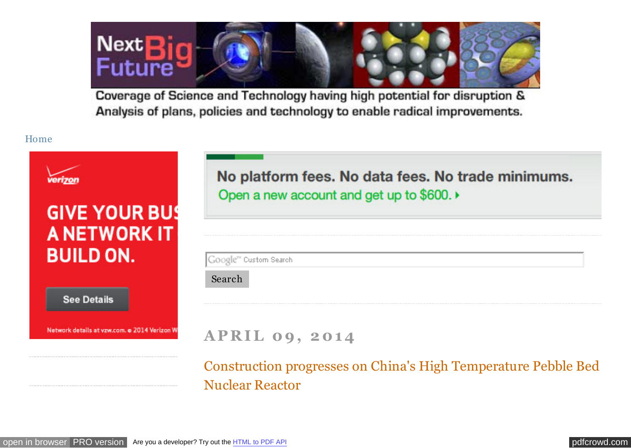<span id="page-0-0"></span>Next Big<br>Future

Coverage of Science and Technology having high potential for disruption & Analysis of plans, policies and technology to enable radical improvements.

### [Home](http://nextbigfuture.com/)

| <b>GIVE YOUR BUS</b>                                          | No platform fees. No data fees. No trade minimums.<br>Open a new account and get up to \$600.  |
|---------------------------------------------------------------|------------------------------------------------------------------------------------------------|
| <b>A NETWORK IT</b><br><b>BUILD ON.</b><br><b>See Details</b> | Google" Custom Search<br>Search                                                                |
| Network details at vzw.com. o 2014 Verizon W                  | <b>APRIL 09, 2014</b><br><b>Construction progresses on China's High Temperature Pebble Bed</b> |

Nuclear Reactor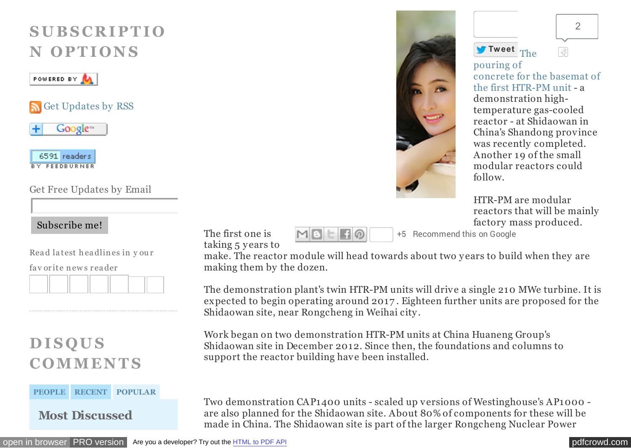# **S U B S C R I P T I O N O P T I O N S**

## POWERED BY

[Get Updates by RSS](http://feeds.feedburner.com/blogspot/advancednano)





Get Free Updates by Email

## Subscribe me!

Rea d la test h ea dlin es in y ou r

fa v or ite n ew s r ea der



# **D I S Q U S C O MME N T S**

#### **[PEOPLE](#page-0-0) [RECENT](#page-0-0) [POPULAR](#page-0-0)**

**Most Discussed**





pouring of [concrete for the basemat of](http://googleads.g.doubleclick.net/aclk?sa=l&ai=Ci4R__qOCU5OlHfTe0AHM1ICADvurktEGu_qZ84kB2sGi3jIQASDktvwCUNSOtKr4_____wFgyQagAa2on8kDyAECqAMByAPBBKoEsQFP0OSg_zTWWRK_T7o5RUwogAbE7CiftC6CLKKTTbnyvG-h2bEPzY0PyJcFP8xd1DyvcnEyfa98cI6Xn2nxrTblJc0HjbR0WrVnekebSwnMY4nA64wSLito0mDlHZbHITs6_weM2BpjMI5Av6Yy2QUZdihjStTqXu7vhsys9NCxngw3RE5xy_ZN6ZNTaj0NJgn8PS4n4YnvsS6HIxC_K444IyO0IWHwD0WAyjczRMIwInSgBgKAB7vX4DY&num=1&sig=AOD64_0ZPAwfVVmg8p3AjrKQlrhOewrO2A&client=ca-pub-2647001505857353&adurl=http://www.idateasia.com/go.php%3F16053) the first HTR-PM unit - a demonstration hightemperature gas-cooled reactor - at Shidaowan in China's Shandong province was recently completed. Another 19 of the small modular reactors could follow.

[2](http://twitter.com/search?q=http%3A%2F%2Fnextbigfuture.com%2F2014%2F04%2Fconstruction-progresses-on-chinas-high.html)

43

HTR-PM are modular reactors that will be mainly factory mass produced.

+5 Recommend this on Google

The first one is taking 5 y ears to

make. The reactor module will head towards about two y ears to build when they are making them by the dozen.

MBEFO

The demonstration plant's twin HTR-PM units will drive a single 210 MWe turbine. It is expected to begin operating around 2017 . Eighteen further units are proposed for the Shidaowan site, near Rongcheng in Weihai city .

Work began on two demonstration HTR-PM units at China Huaneng Group's Shidaowan site in December 2012. Since then, the foundations and columns to support the reactor building have been installed.

Two demonstration CAP1400 units - scaled up versions of Westinghouse's AP1000 are also planned for the Shidaowan site. About 80% of components for these will be made in China. The Shidaowan site is part of the larger Rongcheng Nuclear Power